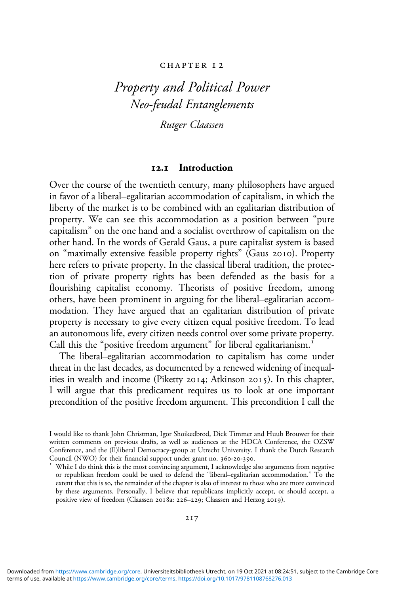#### CHAPTER 12

# *Property and Political Power Neo-feudal Entanglements*

*Rutger Claassen*

### **. Introduction**

Over the course of the twentieth century, many philosophers have argued in favor of a liberal–egalitarian accommodation of capitalism, in which the liberty of the market is to be combined with an egalitarian distribution of property. We can see this accommodation as a position between "pure capitalism" on the one hand and a socialist overthrow of capitalism on the other hand. In the words of Gerald Gaus, a pure capitalist system is based on "maximally extensive feasible property rights" (Gaus 2010). Property here refers to private property. In the classical liberal tradition, the protection of private property rights has been defended as the basis for a flourishing capitalist economy. Theorists of positive freedom, among others, have been prominent in arguing for the liberal–egalitarian accommodation. They have argued that an egalitarian distribution of private property is necessary to give every citizen equal positive freedom. To lead an autonomous life, every citizen needs control over some private property. Call this the "positive freedom argument" for liberal egalitarianism.<sup>1</sup>

The liberal–egalitarian accommodation to capitalism has come under threat in the last decades, as documented by a renewed widening of inequalities in wealth and income (Piketty 2014; Atkinson 2015). In this chapter, I will argue that this predicament requires us to look at one important precondition of the positive freedom argument. This precondition I call the

I would like to thank John Christman, Igor Shoikedbrod, Dick Timmer and Huub Brouwer for their written comments on previous drafts, as well as audiences at the HDCA Conference, the OZSW Conference, and the (Il)liberal Democracy-group at Utrecht University. I thank the Dutch Research

 $V^I$  While I do think this is the most convincing argument, I acknowledge also arguments from negative or republican freedom could be used to defend the "liberal–egalitarian accommodation." To the extent that this is so, the remainder of the chapter is also of interest to those who are more convinced by these arguments. Personally, I believe that republicans implicitly accept, or should accept, a positive view of freedom (Claassen 2018a: 226-229; Claassen and Herzog 2019).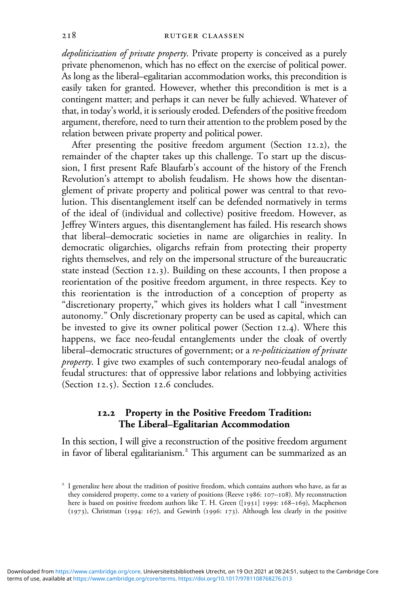*depoliticization of private property*. Private property is conceived as a purely private phenomenon, which has no effect on the exercise of political power. As long as the liberal–egalitarian accommodation works, this precondition is easily taken for granted. However, whether this precondition is met is a contingent matter; and perhaps it can never be fully achieved. Whatever of that, in today's world, it is seriously eroded. Defenders of the positive freedom argument, therefore, need to turn their attention to the problem posed by the relation between private property and political power.

After presenting the positive freedom argument (Section  $12.2$ ), the remainder of the chapter takes up this challenge. To start up the discussion, I first present Rafe Blaufarb's account of the history of the French Revolution's attempt to abolish feudalism. He shows how the disentanglement of private property and political power was central to that revolution. This disentanglement itself can be defended normatively in terms of the ideal of (individual and collective) positive freedom. However, as Jeffrey Winters argues, this disentanglement has failed. His research shows that liberal–democratic societies in name are oligarchies in reality. In democratic oligarchies, oligarchs refrain from protecting their property rights themselves, and rely on the impersonal structure of the bureaucratic state instead (Section  $12.3$ ). Building on these accounts, I then propose a reorientation of the positive freedom argument, in three respects. Key to this reorientation is the introduction of a conception of property as "discretionary property," which gives its holders what I call "investment autonomy." Only discretionary property can be used as capital, which can be invested to give its owner political power (Section  $12.4$ ). Where this happens, we face neo-feudal entanglements under the cloak of overtly liberal–democratic structures of government; or a *re-politicization of private property*. I give two examples of such contemporary neo-feudal analogs of feudal structures: that of oppressive labor relations and lobbying activities (Section  $12.5$ ). Section  $12.6$  concludes.

## **. Property in the Positive Freedom Tradition: The Liberal–Egalitarian Accommodation**

In this section, I will give a reconstruction of the positive freedom argument in favor of liberal egalitarianism.<sup>2</sup> This argument can be summarized as an

<sup>&</sup>lt;sup>2</sup> I generalize here about the tradition of positive freedom, which contains authors who have, as far as they considered property, come to a variety of positions (Reeve 1986: 107-108). My reconstruction here is based on positive freedom authors like T. H. Green ([1931] 1999: 168-169), Macpherson (1973), Christman (1994: 167), and Gewirth (1996: 173). Although less clearly in the positive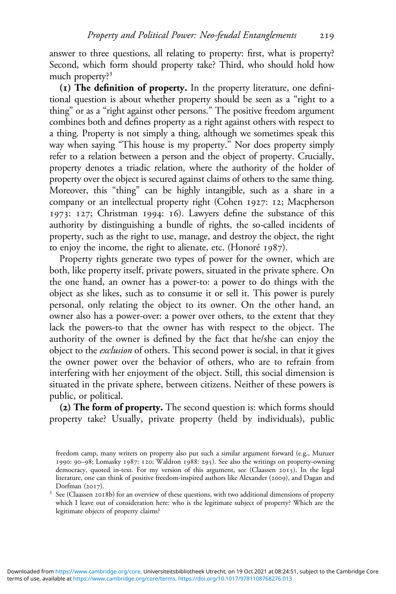answer to three questions, all relating to property: first, what is property? Second, which form should property take? Third, who should hold how much property?<sup>3</sup>

**() The definition of property.** In the property literature, one definitional question is about whether property should be seen as a "right to a thing" or as a "right against other persons." The positive freedom argument combines both and defines property as a right against others with respect to a thing. Property is not simply a thing, although we sometimes speak this way when saying "This house is my property." Nor does property simply refer to a relation between a person and the object of property. Crucially, property denotes a triadic relation, where the authority of the holder of property over the object is secured against claims of others to the same thing. Moreover, this "thing" can be highly intangible, such as a share in a company or an intellectual property right (Cohen 1927: 12; Macpherson 1973: 127; Christman 1994: 16). Lawyers define the substance of this authority by distinguishing a bundle of rights, the so-called incidents of property, such as the right to use, manage, and destroy the object, the right to enjoy the income, the right to alienate, etc. (Honoré  $1987$ ).

Property rights generate two types of power for the owner, which are both, like property itself, private powers, situated in the private sphere. On the one hand, an owner has a power-to: a power to do things with the object as she likes, such as to consume it or sell it. This power is purely personal, only relating the object to its owner. On the other hand, an owner also has a power-over: a power over others, to the extent that they lack the powers-to that the owner has with respect to the object. The authority of the owner is defined by the fact that he/she can enjoy the object to the *exclusion* of others. This second power is social, in that it gives the owner power over the behavior of others, who are to refrain from interfering with her enjoyment of the object. Still, this social dimension is situated in the private sphere, between citizens. Neither of these powers is public, or political.

**() The form of property.** The second question is: which forms should property take? Usually, private property (held by individuals), public

freedom camp, many writers on property also put such a similar argument forward (e.g., Munzer 1990: 90-98; Lomasky 1987: 120; Waldron 1988: 295). See also the writings on property-owning democracy, quoted in-text. For my version of this argument, see (Claassen 2015). In the legal literature, one can think of positive freedom-inspired authors like Alexander (2009), and Dagan and  $\frac{3}{2}$  See (Claassen 2018b) for an overview of these questions, with two additional dimensions of property

which I leave out of consideration here: who is the legitimate subject of property? Which are the legitimate objects of property claims?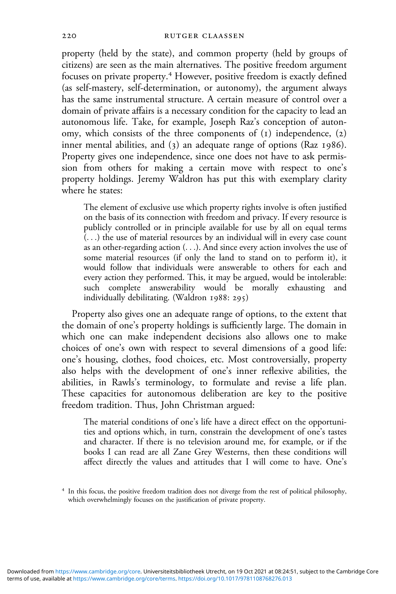property (held by the state), and common property (held by groups of citizens) are seen as the main alternatives. The positive freedom argument focuses on private property.<sup>4</sup> However, positive freedom is exactly defined (as self-mastery, self-determination, or autonomy), the argument always has the same instrumental structure. A certain measure of control over a domain of private affairs is a necessary condition for the capacity to lead an autonomous life. Take, for example, Joseph Raz's conception of autonomy, which consists of the three components of  $(1)$  independence,  $(2)$ inner mental abilities, and  $(3)$  an adequate range of options (Raz 1986). Property gives one independence, since one does not have to ask permission from others for making a certain move with respect to one's property holdings. Jeremy Waldron has put this with exemplary clarity where he states:

The element of exclusive use which property rights involve is often justified on the basis of its connection with freedom and privacy. If every resource is publicly controlled or in principle available for use by all on equal terms (...) the use of material resources by an individual will in every case count as an other-regarding action (...). And since every action involves the use of some material resources (if only the land to stand on to perform it), it would follow that individuals were answerable to others for each and every action they performed. This, it may be argued, would be intolerable: such complete answerability would be morally exhausting and individually debilitating. (Waldron  $1988: 295$ )

Property also gives one an adequate range of options, to the extent that the domain of one's property holdings is sufficiently large. The domain in which one can make independent decisions also allows one to make choices of one's own with respect to several dimensions of a good life: one's housing, clothes, food choices, etc. Most controversially, property also helps with the development of one's inner reflexive abilities, the abilities, in Rawls's terminology, to formulate and revise a life plan. These capacities for autonomous deliberation are key to the positive freedom tradition. Thus, John Christman argued:

The material conditions of one's life have a direct effect on the opportunities and options which, in turn, constrain the development of one's tastes and character. If there is no television around me, for example, or if the books I can read are all Zane Grey Westerns, then these conditions will affect directly the values and attitudes that I will come to have. One's

<sup>&</sup>lt;sup>4</sup> In this focus, the positive freedom tradition does not diverge from the rest of political philosophy, which overwhelmingly focuses on the justification of private property.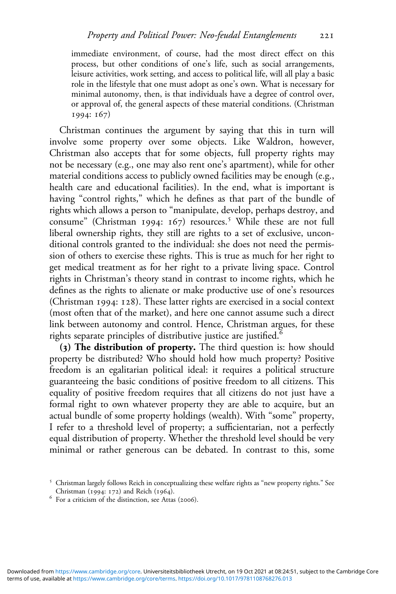immediate environment, of course, had the most direct effect on this process, but other conditions of one's life, such as social arrangements, leisure activities, work setting, and access to political life, will all play a basic role in the lifestyle that one must adopt as one's own. What is necessary for minimal autonomy, then, is that individuals have a degree of control over, or approval of, the general aspects of these material conditions. (Christman 1994: 167)

Christman continues the argument by saying that this in turn will involve some property over some objects. Like Waldron, however, Christman also accepts that for some objects, full property rights may not be necessary (e.g., one may also rent one's apartment), while for other material conditions access to publicly owned facilities may be enough (e.g., health care and educational facilities). In the end, what is important is having "control rights," which he defines as that part of the bundle of rights which allows a person to "manipulate, develop, perhaps destroy, and consume" (Christman 1994: 167) resources.<sup>5</sup> While these are not full liberal ownership rights, they still are rights to a set of exclusive, unconditional controls granted to the individual: she does not need the permission of others to exercise these rights. This is true as much for her right to get medical treatment as for her right to a private living space. Control rights in Christman's theory stand in contrast to income rights, which he defines as the rights to alienate or make productive use of one's resources (Christman 1994: 128). These latter rights are exercised in a social context (most often that of the market), and here one cannot assume such a direct link between autonomy and control. Hence, Christman argues, for these rights separate principles of distributive justice are justified.

**() The distribution of property.** The third question is: how should property be distributed? Who should hold how much property? Positive freedom is an egalitarian political ideal: it requires a political structure guaranteeing the basic conditions of positive freedom to all citizens. This equality of positive freedom requires that all citizens do not just have a formal right to own whatever property they are able to acquire, but an actual bundle of some property holdings (wealth). With "some" property, I refer to a threshold level of property; a sufficientarian, not a perfectly equal distribution of property. Whether the threshold level should be very minimal or rather generous can be debated. In contrast to this, some

<sup>&</sup>lt;sup>5</sup> Christman largely follows Reich in conceptualizing these welfare rights as "new property rights." See Christman (1994: 172) and Reich (1964).

 $6$  For a criticism of the distinction, see Attas (2006).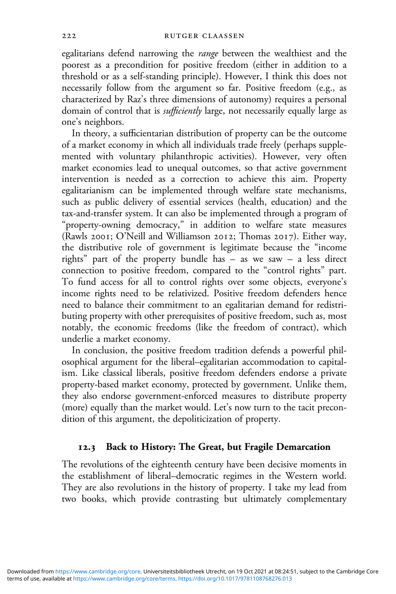egalitarians defend narrowing the *range* between the wealthiest and the poorest as a precondition for positive freedom (either in addition to a threshold or as a self-standing principle). However, I think this does not necessarily follow from the argument so far. Positive freedom (e.g., as characterized by Raz's three dimensions of autonomy) requires a personal domain of control that is *sufficiently* large, not necessarily equally large as one's neighbors.

In theory, a sufficientarian distribution of property can be the outcome of a market economy in which all individuals trade freely (perhaps supplemented with voluntary philanthropic activities). However, very often market economies lead to unequal outcomes, so that active government intervention is needed as a correction to achieve this aim. Property egalitarianism can be implemented through welfare state mechanisms, such as public delivery of essential services (health, education) and the tax-and-transfer system. It can also be implemented through a program of "property-owning democracy," in addition to welfare state measures (Rawls 2001; O'Neill and Williamson 2012; Thomas 2017). Either way, the distributive role of government is legitimate because the "income rights" part of the property bundle has – as we saw – a less direct connection to positive freedom, compared to the "control rights" part. To fund access for all to control rights over some objects, everyone's income rights need to be relativized. Positive freedom defenders hence need to balance their commitment to an egalitarian demand for redistributing property with other prerequisites of positive freedom, such as, most notably, the economic freedoms (like the freedom of contract), which underlie a market economy.

In conclusion, the positive freedom tradition defends a powerful philosophical argument for the liberal–egalitarian accommodation to capitalism. Like classical liberals, positive freedom defenders endorse a private property-based market economy, protected by government. Unlike them, they also endorse government-enforced measures to distribute property (more) equally than the market would. Let's now turn to the tacit precondition of this argument, the depoliticization of property.

#### **. Back to History: The Great, but Fragile Demarcation**

The revolutions of the eighteenth century have been decisive moments in the establishment of liberal–democratic regimes in the Western world. They are also revolutions in the history of property. I take my lead from two books, which provide contrasting but ultimately complementary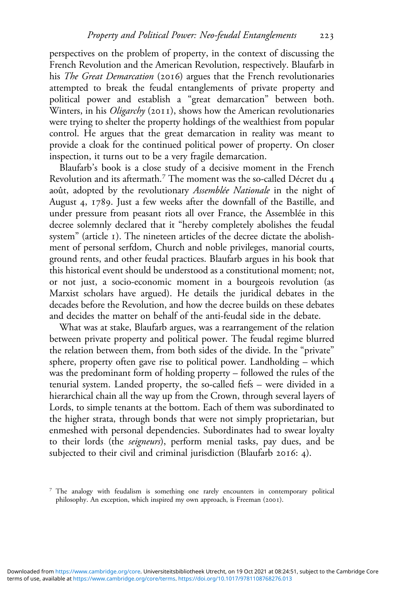perspectives on the problem of property, in the context of discussing the French Revolution and the American Revolution, respectively. Blaufarb in his *The Great Demarcation* (2016) argues that the French revolutionaries attempted to break the feudal entanglements of private property and political power and establish a "great demarcation" between both. Winters, in his *Oligarchy* (2011), shows how the American revolutionaries were trying to shelter the property holdings of the wealthiest from popular control. He argues that the great demarcation in reality was meant to provide a cloak for the continued political power of property. On closer inspection, it turns out to be a very fragile demarcation.

Blaufarb's book is a close study of a decisive moment in the French Revolution and its aftermath.<sup>7</sup> The moment was the so-called Décret du 4 août, adopted by the revolutionary *Assemblée Nationale* in the night of August 4, 1789. Just a few weeks after the downfall of the Bastille, and under pressure from peasant riots all over France, the Assemblée in this decree solemnly declared that it "hereby completely abolishes the feudal system" (article 1). The nineteen articles of the decree dictate the abolishment of personal serfdom, Church and noble privileges, manorial courts, ground rents, and other feudal practices. Blaufarb argues in his book that this historical event should be understood as a constitutional moment; not, or not just, a socio-economic moment in a bourgeois revolution (as Marxist scholars have argued). He details the juridical debates in the decades before the Revolution, and how the decree builds on these debates and decides the matter on behalf of the anti-feudal side in the debate.

What was at stake, Blaufarb argues, was a rearrangement of the relation between private property and political power. The feudal regime blurred the relation between them, from both sides of the divide. In the "private" sphere, property often gave rise to political power. Landholding – which was the predominant form of holding property – followed the rules of the tenurial system. Landed property, the so-called fiefs – were divided in a hierarchical chain all the way up from the Crown, through several layers of Lords, to simple tenants at the bottom. Each of them was subordinated to the higher strata, through bonds that were not simply proprietarian, but enmeshed with personal dependencies. Subordinates had to swear loyalty to their lords (the *seigneurs*), perform menial tasks, pay dues, and be subjected to their civil and criminal jurisdiction (Blaufarb 2016: 4).

<sup>&</sup>lt;sup>7</sup> The analogy with feudalism is something one rarely encounters in contemporary political philosophy. An exception, which inspired my own approach, is Freeman (2001).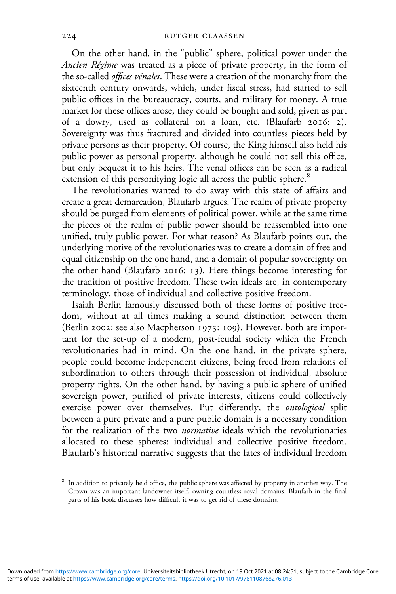On the other hand, in the "public" sphere, political power under the *Ancien Régime* was treated as a piece of private property, in the form of the so-called *offices vénales*. These were a creation of the monarchy from the sixteenth century onwards, which, under fiscal stress, had started to sell public offices in the bureaucracy, courts, and military for money. A true market for these offices arose, they could be bought and sold, given as part of a dowry, used as collateral on a loan, etc. (Blaufarb 2016: 2). Sovereignty was thus fractured and divided into countless pieces held by private persons as their property. Of course, the King himself also held his public power as personal property, although he could not sell this office, but only bequest it to his heirs. The venal offices can be seen as a radical extension of this personifying logic all across the public sphere.<sup>8</sup>

The revolutionaries wanted to do away with this state of affairs and create a great demarcation, Blaufarb argues. The realm of private property should be purged from elements of political power, while at the same time the pieces of the realm of public power should be reassembled into one unified, truly public power. For what reason? As Blaufarb points out, the underlying motive of the revolutionaries was to create a domain of free and equal citizenship on the one hand, and a domain of popular sovereignty on the other hand (Blaufarb  $2016$ :  $13$ ). Here things become interesting for the tradition of positive freedom. These twin ideals are, in contemporary terminology, those of individual and collective positive freedom.

Isaiah Berlin famously discussed both of these forms of positive freedom, without at all times making a sound distinction between them (Berlin 2002; see also Macpherson 1973: 109). However, both are important for the set-up of a modern, post-feudal society which the French revolutionaries had in mind. On the one hand, in the private sphere, people could become independent citizens, being freed from relations of subordination to others through their possession of individual, absolute property rights. On the other hand, by having a public sphere of unified sovereign power, purified of private interests, citizens could collectively exercise power over themselves. Put differently, the *ontological* split between a pure private and a pure public domain is a necessary condition for the realization of the two *normative* ideals which the revolutionaries allocated to these spheres: individual and collective positive freedom. Blaufarb's historical narrative suggests that the fates of individual freedom

In addition to privately held office, the public sphere was affected by property in another way. The Crown was an important landowner itself, owning countless royal domains. Blaufarb in the final parts of his book discusses how difficult it was to get rid of these domains.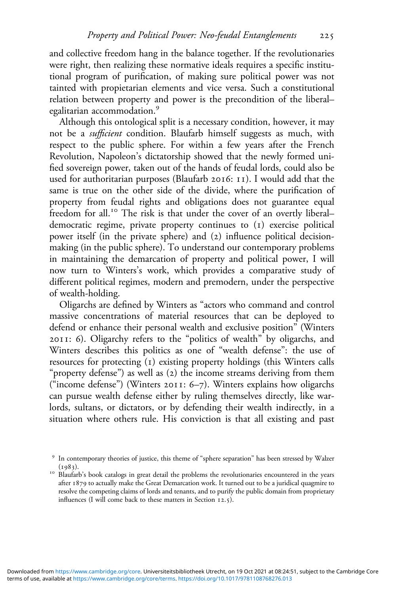and collective freedom hang in the balance together. If the revolutionaries were right, then realizing these normative ideals requires a specific institutional program of purification, of making sure political power was not tainted with propietarian elements and vice versa. Such a constitutional relation between property and power is the precondition of the liberal– egalitarian accommodation.

Although this ontological split is a necessary condition, however, it may not be a *sufficient* condition. Blaufarb himself suggests as much, with respect to the public sphere. For within a few years after the French Revolution, Napoleon's dictatorship showed that the newly formed unified sovereign power, taken out of the hands of feudal lords, could also be used for authoritarian purposes (Blaufarb 2016: 11). I would add that the same is true on the other side of the divide, where the purification of property from feudal rights and obligations does not guarantee equal freedom for all.<sup>10</sup> The risk is that under the cover of an overtly liberaldemocratic regime, private property continues to (1) exercise political power itself (in the private sphere) and (2) influence political decisionmaking (in the public sphere). To understand our contemporary problems in maintaining the demarcation of property and political power, I will now turn to Winters's work, which provides a comparative study of different political regimes, modern and premodern, under the perspective of wealth-holding.

Oligarchs are defined by Winters as "actors who command and control massive concentrations of material resources that can be deployed to defend or enhance their personal wealth and exclusive position" (Winters  $2011$ : 6). Oligarchy refers to the "politics of wealth" by oligarchs, and Winters describes this politics as one of "wealth defense": the use of resources for protecting (1) existing property holdings (this Winters calls "property defense") as well as (2) the income streams deriving from them ("income defense") (Winters  $2011: 6-7$ ). Winters explains how oligarchs can pursue wealth defense either by ruling themselves directly, like warlords, sultans, or dictators, or by defending their wealth indirectly, in a situation where others rule. His conviction is that all existing and past

<sup>&</sup>lt;sup>9</sup> In contemporary theories of justice, this theme of "sphere separation" has been stressed by Walzer  $(1983)$ .

<sup>&</sup>lt;sup>10</sup> Blaufarb's book catalogs in great detail the problems the revolutionaries encountered in the years after 1879 to actually make the Great Demarcation work. It turned out to be a juridical quagmire to resolve the competing claims of lords and tenants, and to purify the public domain from proprietary influences (I will come back to these matters in Section  $12.5$ ).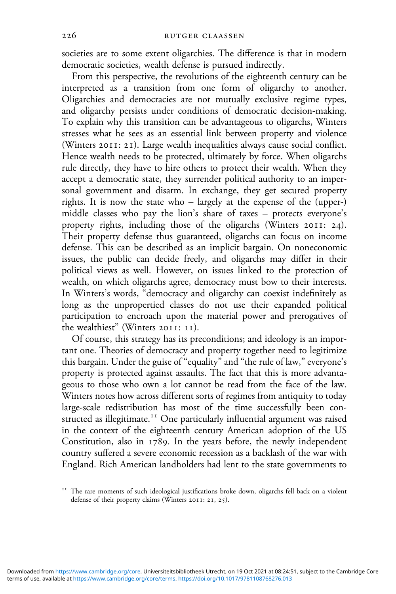societies are to some extent oligarchies. The difference is that in modern democratic societies, wealth defense is pursued indirectly.

From this perspective, the revolutions of the eighteenth century can be interpreted as a transition from one form of oligarchy to another. Oligarchies and democracies are not mutually exclusive regime types, and oligarchy persists under conditions of democratic decision-making. To explain why this transition can be advantageous to oligarchs, Winters stresses what he sees as an essential link between property and violence (Winters 2011: 21). Large wealth inequalities always cause social conflict. Hence wealth needs to be protected, ultimately by force. When oligarchs rule directly, they have to hire others to protect their wealth. When they accept a democratic state, they surrender political authority to an impersonal government and disarm. In exchange, they get secured property rights. It is now the state who – largely at the expense of the (upper-) middle classes who pay the lion's share of taxes – protects everyone's property rights, including those of the oligarchs (Winters  $2011$ :  $24$ ). Their property defense thus guaranteed, oligarchs can focus on income defense. This can be described as an implicit bargain. On noneconomic issues, the public can decide freely, and oligarchs may differ in their political views as well. However, on issues linked to the protection of wealth, on which oligarchs agree, democracy must bow to their interests. In Winters's words, "democracy and oligarchy can coexist indefinitely as long as the unpropertied classes do not use their expanded political participation to encroach upon the material power and prerogatives of the wealthiest" (Winters 2011: 11).

Of course, this strategy has its preconditions; and ideology is an important one. Theories of democracy and property together need to legitimize this bargain. Under the guise of "equality" and "the rule of law," everyone's property is protected against assaults. The fact that this is more advantageous to those who own a lot cannot be read from the face of the law. Winters notes how across different sorts of regimes from antiquity to today large-scale redistribution has most of the time successfully been constructed as illegitimate.<sup>11</sup> One particularly influential argument was raised in the context of the eighteenth century American adoption of the US Constitution, also in  $1789$ . In the years before, the newly independent country suffered a severe economic recession as a backlash of the war with England. Rich American landholders had lent to the state governments to

The rare moments of such ideological justifications broke down, oligarchs fell back on a violent defense of their property claims (Winters 2011: 21, 25).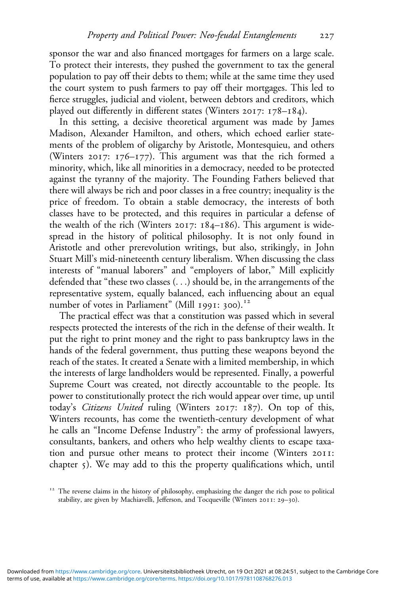sponsor the war and also financed mortgages for farmers on a large scale. To protect their interests, they pushed the government to tax the general population to pay off their debts to them; while at the same time they used the court system to push farmers to pay off their mortgages. This led to fierce struggles, judicial and violent, between debtors and creditors, which played out differently in different states (Winters  $2017: 178-184$ ).

In this setting, a decisive theoretical argument was made by James Madison, Alexander Hamilton, and others, which echoed earlier statements of the problem of oligarchy by Aristotle, Montesquieu, and others (Winters 2017:  $176-177$ ). This argument was that the rich formed a minority, which, like all minorities in a democracy, needed to be protected against the tyranny of the majority. The Founding Fathers believed that there will always be rich and poor classes in a free country; inequality is the price of freedom. To obtain a stable democracy, the interests of both classes have to be protected, and this requires in particular a defense of the wealth of the rich (Winters 2017:  $184-186$ ). This argument is widespread in the history of political philosophy. It is not only found in Aristotle and other prerevolution writings, but also, strikingly, in John Stuart Mill's mid-nineteenth century liberalism. When discussing the class interests of "manual laborers" and "employers of labor," Mill explicitly defended that "these two classes (...) should be, in the arrangements of the representative system, equally balanced, each influencing about an equal number of votes in Parliament" (Mill 1991: 300).<sup>12</sup>

The practical effect was that a constitution was passed which in several respects protected the interests of the rich in the defense of their wealth. It put the right to print money and the right to pass bankruptcy laws in the hands of the federal government, thus putting these weapons beyond the reach of the states. It created a Senate with a limited membership, in which the interests of large landholders would be represented. Finally, a powerful Supreme Court was created, not directly accountable to the people. Its power to constitutionally protect the rich would appear over time, up until today's *Citizens United* ruling (Winters 2017: 187). On top of this, Winters recounts, has come the twentieth-century development of what he calls an "Income Defense Industry": the army of professional lawyers, consultants, bankers, and others who help wealthy clients to escape taxation and pursue other means to protect their income (Winters 2011: chapter  $\zeta$ ). We may add to this the property qualifications which, until

<sup>&</sup>lt;sup>12</sup> The reverse claims in the history of philosophy, emphasizing the danger the rich pose to political stability, are given by Machiavelli, Jefferson, and Tocqueville (Winters 2011: 29-30).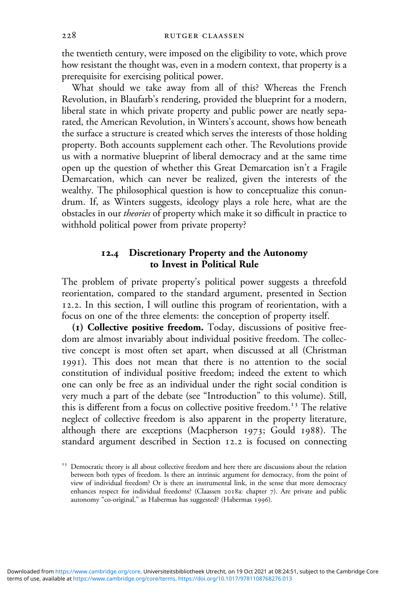the twentieth century, were imposed on the eligibility to vote, which prove how resistant the thought was, even in a modern context, that property is a prerequisite for exercising political power.

What should we take away from all of this? Whereas the French Revolution, in Blaufarb's rendering, provided the blueprint for a modern, liberal state in which private property and public power are neatly separated, the American Revolution, in Winters's account, shows how beneath the surface a structure is created which serves the interests of those holding property. Both accounts supplement each other. The Revolutions provide us with a normative blueprint of liberal democracy and at the same time open up the question of whether this Great Demarcation isn't a Fragile Demarcation, which can never be realized, given the interests of the wealthy. The philosophical question is how to conceptualize this conundrum. If, as Winters suggests, ideology plays a role here, what are the obstacles in our *theories* of property which make it so difficult in practice to withhold political power from private property?

# **. Discretionary Property and the Autonomy to Invest in Political Rule**

The problem of private property's political power suggests a threefold reorientation, compared to the standard argument, presented in Section 12.2. In this section, I will outline this program of reorientation, with a focus on one of the three elements: the conception of property itself.

**() Collective positive freedom.** Today, discussions of positive freedom are almost invariably about individual positive freedom. The collective concept is most often set apart, when discussed at all (Christman ). This does not mean that there is no attention to the social constitution of individual positive freedom; indeed the extent to which one can only be free as an individual under the right social condition is very much a part of the debate (see "Introduction" to this volume). Still, this is different from a focus on collective positive freedom.<sup>13</sup> The relative neglect of collective freedom is also apparent in the property literature, although there are exceptions (Macpherson 1973; Gould 1988). The standard argument described in Section 12.2 is focused on connecting

<sup>&</sup>lt;sup>13</sup> Democratic theory is all about collective freedom and here there are discussions about the relation between both types of freedom. Is there an intrinsic argument for democracy, from the point of view of individual freedom? Or is there an instrumental link, in the sense that more democracy enhances respect for individual freedoms? (Claassen 2018a: chapter 7). Are private and public autonomy "co-original," as Habermas has suggested? (Habermas 1996).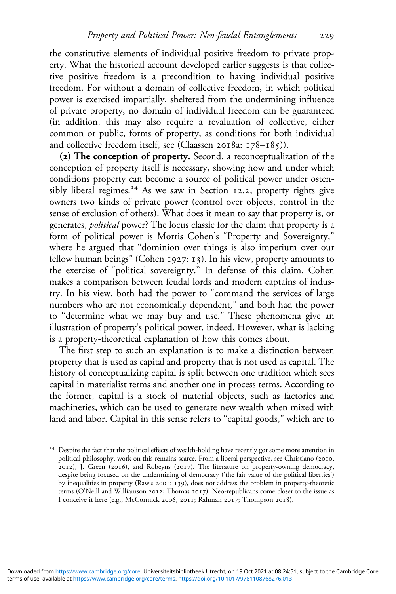the constitutive elements of individual positive freedom to private property. What the historical account developed earlier suggests is that collective positive freedom is a precondition to having individual positive freedom. For without a domain of collective freedom, in which political power is exercised impartially, sheltered from the undermining influence of private property, no domain of individual freedom can be guaranteed (in addition, this may also require a revaluation of collective, either common or public, forms of property, as conditions for both individual and collective freedom itself, see (Claassen 2018a:  $178-185$ )).

**() The conception of property.** Second, a reconceptualization of the conception of property itself is necessary, showing how and under which conditions property can become a source of political power under ostensibly liberal regimes.<sup>14</sup> As we saw in Section 12.2, property rights give owners two kinds of private power (control over objects, control in the sense of exclusion of others). What does it mean to say that property is, or generates, *political* power? The locus classic for the claim that property is a form of political power is Morris Cohen's "Property and Sovereignty," where he argued that "dominion over things is also imperium over our fellow human beings" (Cohen 1927: 13). In his view, property amounts to the exercise of "political sovereignty." In defense of this claim, Cohen makes a comparison between feudal lords and modern captains of industry. In his view, both had the power to "command the services of large numbers who are not economically dependent," and both had the power to "determine what we may buy and use." These phenomena give an illustration of property's political power, indeed. However, what is lacking is a property-theoretical explanation of how this comes about.

The first step to such an explanation is to make a distinction between property that is used as capital and property that is not used as capital. The history of conceptualizing capital is split between one tradition which sees capital in materialist terms and another one in process terms. According to the former, capital is a stock of material objects, such as factories and machineries, which can be used to generate new wealth when mixed with land and labor. Capital in this sense refers to "capital goods," which are to

<sup>&</sup>lt;sup>14</sup> Despite the fact that the political effects of wealth-holding have recently got some more attention in political philosophy, work on this remains scarce. From a liberal perspective, see Christiano (2010,  $2012$ ), J. Green (2016), and Robeyns (2017). The literature on property-owning democracy, despite being focused on the undermining of democracy ('the fair value of the political liberties') by inequalities in property (Rawls 2001: 139), does not address the problem in property-theoretic terms (O'Neill and Williamson 2012; Thomas 2017). Neo-republicans come closer to the issue as I conceive it here (e.g., McCormick 2006, 2011; Rahman 2017; Thompson 2018).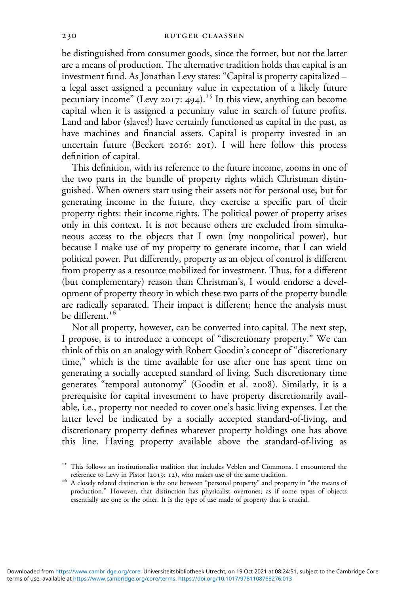be distinguished from consumer goods, since the former, but not the latter are a means of production. The alternative tradition holds that capital is an investment fund. As Jonathan Levy states: "Capital is property capitalized – a legal asset assigned a pecuniary value in expectation of a likely future pecuniary income" (Levy 2017: 494).<sup>15</sup> In this view, anything can become capital when it is assigned a pecuniary value in search of future profits. Land and labor (slaves!) have certainly functioned as capital in the past, as have machines and financial assets. Capital is property invested in an uncertain future (Beckert 2016: 201). I will here follow this process definition of capital.

This definition, with its reference to the future income, zooms in one of the two parts in the bundle of property rights which Christman distinguished. When owners start using their assets not for personal use, but for generating income in the future, they exercise a specific part of their property rights: their income rights. The political power of property arises only in this context. It is not because others are excluded from simultaneous access to the objects that I own (my nonpolitical power), but because I make use of my property to generate income, that I can wield political power. Put differently, property as an object of control is different from property as a resource mobilized for investment. Thus, for a different (but complementary) reason than Christman's, I would endorse a development of property theory in which these two parts of the property bundle are radically separated. Their impact is different; hence the analysis must be different.<sup>16</sup>

Not all property, however, can be converted into capital. The next step, I propose, is to introduce a concept of "discretionary property." We can think of this on an analogy with Robert Goodin's concept of "discretionary time," which is the time available for use after one has spent time on generating a socially accepted standard of living. Such discretionary time generates "temporal autonomy" (Goodin et al. 2008). Similarly, it is a prerequisite for capital investment to have property discretionarily available, i.e., property not needed to cover one's basic living expenses. Let the latter level be indicated by a socially accepted standard-of-living, and discretionary property defines whatever property holdings one has above this line. Having property available above the standard-of-living as

<sup>&</sup>lt;sup> $15$ </sup> This follows an institutionalist tradition that includes Veblen and Commons. I encountered the reference to Levy in Pistor (2019: 12), who makes use of the same tradition.

 $r<sup>6</sup>$  A closely related distinction is the one between "personal property" and property in "the means of production." However, that distinction has physicalist overtones; as if some types of objects essentially are one or the other. It is the type of use made of property that is crucial.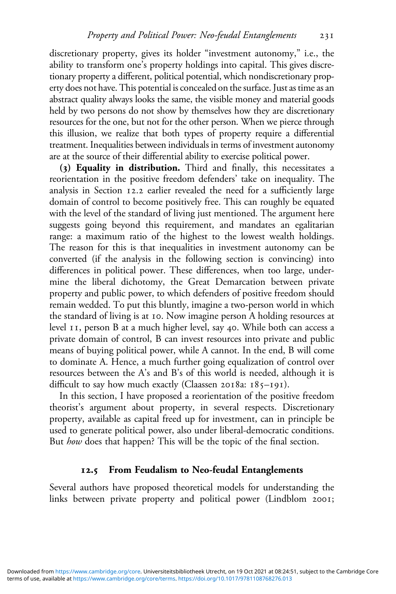discretionary property, gives its holder "investment autonomy," i.e., the ability to transform one's property holdings into capital. This gives discretionary property a different, political potential, which nondiscretionary property does not have. This potential is concealed on the surface. Just as time as an abstract quality always looks the same, the visible money and material goods held by two persons do not show by themselves how they are discretionary resources for the one, but not for the other person. When we pierce through this illusion, we realize that both types of property require a differential treatment. Inequalities between individuals in terms of investment autonomy are at the source of their differential ability to exercise political power.

**() Equality in distribution.** Third and finally, this necessitates a reorientation in the positive freedom defenders' take on inequality. The analysis in Section 12.2 earlier revealed the need for a sufficiently large domain of control to become positively free. This can roughly be equated with the level of the standard of living just mentioned. The argument here suggests going beyond this requirement, and mandates an egalitarian range: a maximum ratio of the highest to the lowest wealth holdings. The reason for this is that inequalities in investment autonomy can be converted (if the analysis in the following section is convincing) into differences in political power. These differences, when too large, undermine the liberal dichotomy, the Great Demarcation between private property and public power, to which defenders of positive freedom should remain wedded. To put this bluntly, imagine a two-person world in which the standard of living is at 10. Now imagine person A holding resources at level II, person B at a much higher level, say 40. While both can access a private domain of control, B can invest resources into private and public means of buying political power, while A cannot. In the end, B will come to dominate A. Hence, a much further going equalization of control over resources between the A's and B's of this world is needed, although it is difficult to say how much exactly (Claassen 2018a:  $185-191$ ).

In this section, I have proposed a reorientation of the positive freedom theorist's argument about property, in several respects. Discretionary property, available as capital freed up for investment, can in principle be used to generate political power, also under liberal-democratic conditions. But *how* does that happen? This will be the topic of the final section.

### **. From Feudalism to Neo-feudal Entanglements**

Several authors have proposed theoretical models for understanding the links between private property and political power (Lindblom 2001;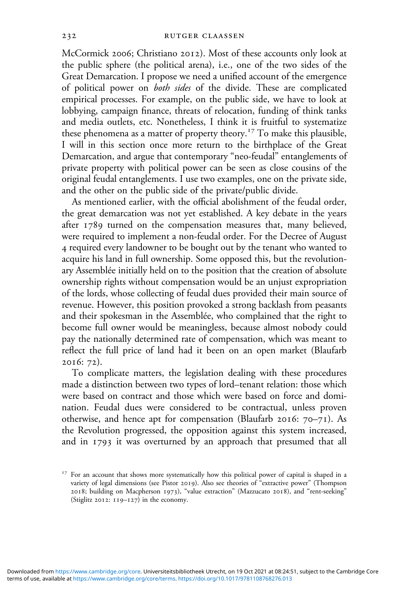McCormick 2006; Christiano 2012). Most of these accounts only look at the public sphere (the political arena), i.e., one of the two sides of the Great Demarcation. I propose we need a unified account of the emergence of political power on *both sides* of the divide. These are complicated empirical processes. For example, on the public side, we have to look at lobbying, campaign finance, threats of relocation, funding of think tanks and media outlets, etc. Nonetheless, I think it is fruitful to systematize these phenomena as a matter of property theory.<sup>17</sup> To make this plausible, I will in this section once more return to the birthplace of the Great Demarcation, and argue that contemporary "neo-feudal" entanglements of private property with political power can be seen as close cousins of the original feudal entanglements. I use two examples, one on the private side, and the other on the public side of the private/public divide.

As mentioned earlier, with the official abolishment of the feudal order, the great demarcation was not yet established. A key debate in the years after 1789 turned on the compensation measures that, many believed, were required to implement a non-feudal order. For the Decree of August required every landowner to be bought out by the tenant who wanted to acquire his land in full ownership. Some opposed this, but the revolutionary Assemblée initially held on to the position that the creation of absolute ownership rights without compensation would be an unjust expropriation of the lords, whose collecting of feudal dues provided their main source of revenue. However, this position provoked a strong backlash from peasants and their spokesman in the Assemblée, who complained that the right to become full owner would be meaningless, because almost nobody could pay the nationally determined rate of compensation, which was meant to reflect the full price of land had it been on an open market (Blaufarb 2016: 72).

To complicate matters, the legislation dealing with these procedures made a distinction between two types of lord–tenant relation: those which were based on contract and those which were based on force and domination. Feudal dues were considered to be contractual, unless proven otherwise, and hence apt for compensation (Blaufarb 2016:  $70-71$ ). As the Revolution progressed, the opposition against this system increased, and in  $1793$  it was overturned by an approach that presumed that all

<sup>&</sup>lt;sup>17</sup> For an account that shows more systematically how this political power of capital is shaped in a variety of legal dimensions (see Pistor 2019). Also see theories of "extractive power" (Thompson 2018; building on Macpherson 1973), "value extraction" (Mazzucato 2018), and "rent-seeking" (Stiglitz  $2012$ :  $119-127$ ) in the economy.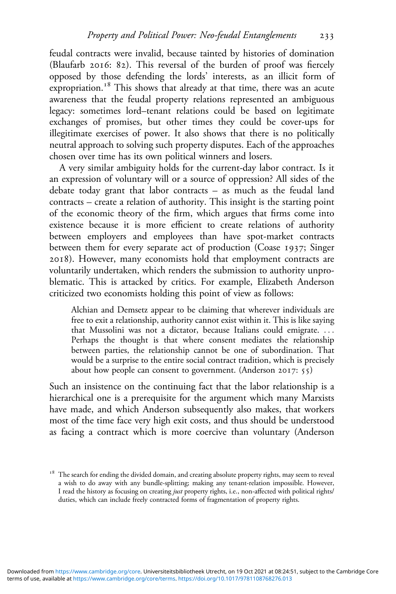feudal contracts were invalid, because tainted by histories of domination (Blaufarb 2016: 82). This reversal of the burden of proof was fiercely opposed by those defending the lords' interests, as an illicit form of expropriation.<sup>18</sup> This shows that already at that time, there was an acute awareness that the feudal property relations represented an ambiguous legacy: sometimes lord–tenant relations could be based on legitimate exchanges of promises, but other times they could be cover-ups for illegitimate exercises of power. It also shows that there is no politically neutral approach to solving such property disputes. Each of the approaches chosen over time has its own political winners and losers.

A very similar ambiguity holds for the current-day labor contract. Is it an expression of voluntary will or a source of oppression? All sides of the debate today grant that labor contracts – as much as the feudal land contracts – create a relation of authority. This insight is the starting point of the economic theory of the firm, which argues that firms come into existence because it is more efficient to create relations of authority between employers and employees than have spot-market contracts between them for every separate act of production (Coase 1937; Singer ). However, many economists hold that employment contracts are voluntarily undertaken, which renders the submission to authority unproblematic. This is attacked by critics. For example, Elizabeth Anderson criticized two economists holding this point of view as follows:

Alchian and Demsetz appear to be claiming that wherever individuals are free to exit a relationship, authority cannot exist within it. This is like saying that Mussolini was not a dictator, because Italians could emigrate. ... Perhaps the thought is that where consent mediates the relationship between parties, the relationship cannot be one of subordination. That would be a surprise to the entire social contract tradition, which is precisely about how people can consent to government. (Anderson  $2017: 55$ )

Such an insistence on the continuing fact that the labor relationship is a hierarchical one is a prerequisite for the argument which many Marxists have made, and which Anderson subsequently also makes, that workers most of the time face very high exit costs, and thus should be understood as facing a contract which is more coercive than voluntary (Anderson

The search for ending the divided domain, and creating absolute property rights, may seem to reveal a wish to do away with any bundle-splitting; making any tenant-relation impossible. However, I read the history as focusing on creating *just* property rights, i.e., non-affected with political rights/ duties, which can include freely contracted forms of fragmentation of property rights.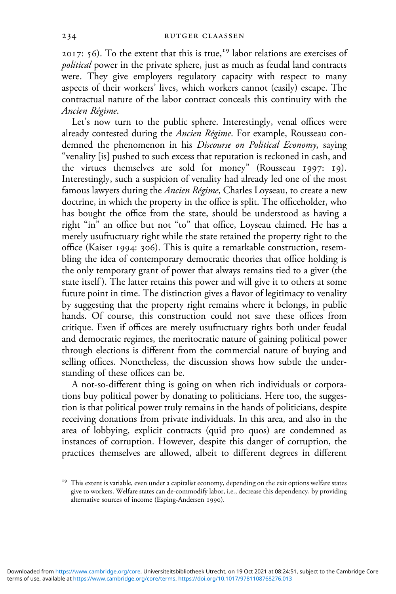2017:  $56$ ). To the extent that this is true,<sup>19</sup> labor relations are exercises of *political* power in the private sphere, just as much as feudal land contracts were. They give employers regulatory capacity with respect to many aspects of their workers' lives, which workers cannot (easily) escape. The contractual nature of the labor contract conceals this continuity with the *Ancien Régime*.

Let's now turn to the public sphere. Interestingly, venal offices were already contested during the *Ancien Régime*. For example, Rousseau condemned the phenomenon in his *Discourse on Political Economy*, saying "venality [is] pushed to such excess that reputation is reckoned in cash, and the virtues themselves are sold for money" (Rousseau 1997: 19). Interestingly, such a suspicion of venality had already led one of the most famous lawyers during the *Ancien Régime*, Charles Loyseau, to create a new doctrine, in which the property in the office is split. The officeholder, who has bought the office from the state, should be understood as having a right "in" an office but not "to" that office, Loyseau claimed. He has a merely usufructuary right while the state retained the property right to the office (Kaiser 1994: 306). This is quite a remarkable construction, resembling the idea of contemporary democratic theories that office holding is the only temporary grant of power that always remains tied to a giver (the state itself). The latter retains this power and will give it to others at some future point in time. The distinction gives a flavor of legitimacy to venality by suggesting that the property right remains where it belongs, in public hands. Of course, this construction could not save these offices from critique. Even if offices are merely usufructuary rights both under feudal and democratic regimes, the meritocratic nature of gaining political power through elections is different from the commercial nature of buying and selling offices. Nonetheless, the discussion shows how subtle the understanding of these offices can be.

A not-so-different thing is going on when rich individuals or corporations buy political power by donating to politicians. Here too, the suggestion is that political power truly remains in the hands of politicians, despite receiving donations from private individuals. In this area, and also in the area of lobbying, explicit contracts (quid pro quos) are condemned as instances of corruption. However, despite this danger of corruption, the practices themselves are allowed, albeit to different degrees in different

<sup>&</sup>lt;sup>19</sup> This extent is variable, even under a capitalist economy, depending on the exit options welfare states give to workers. Welfare states can de-commodify labor, i.e., decrease this dependency, by providing alternative sources of income (Esping-Andersen 1990).